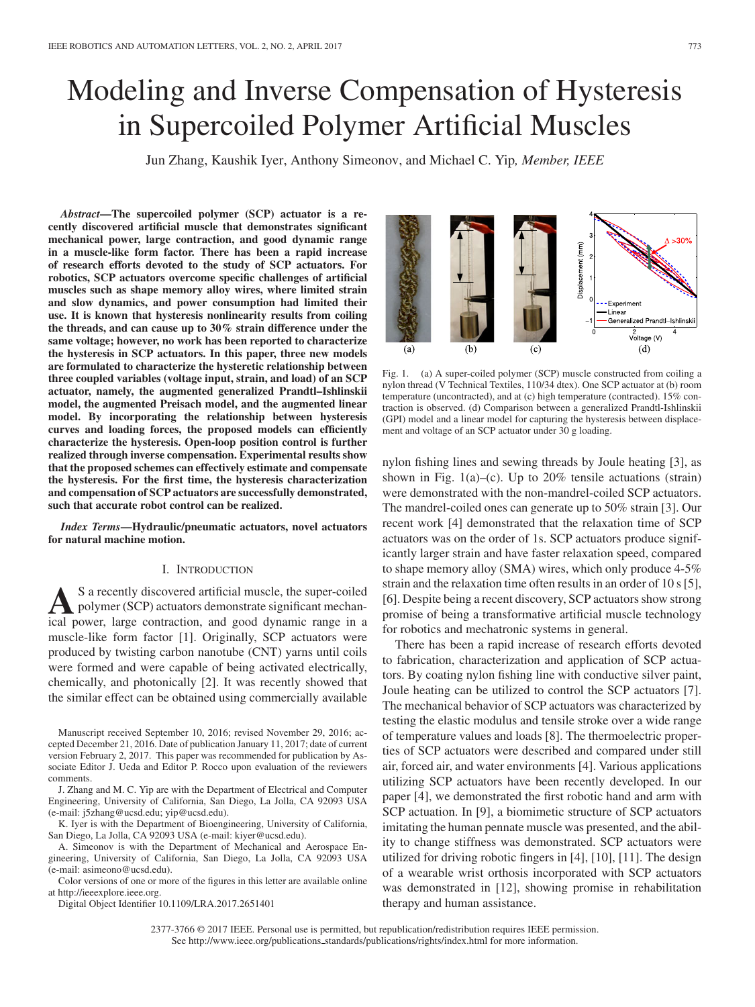# Modeling and Inverse Compensation of Hysteresis in Supercoiled Polymer Artificial Muscles

Jun Zhang, Kaushik Iyer, Anthony Simeonov, and Michael C. Yip*, Member, IEEE*

*Abstract***—The supercoiled polymer (SCP) actuator is a recently discovered artificial muscle that demonstrates significant mechanical power, large contraction, and good dynamic range in a muscle-like form factor. There has been a rapid increase of research efforts devoted to the study of SCP actuators. For robotics, SCP actuators overcome specific challenges of artificial muscles such as shape memory alloy wires, where limited strain and slow dynamics, and power consumption had limited their use. It is known that hysteresis nonlinearity results from coiling the threads, and can cause up to 30% strain difference under the same voltage; however, no work has been reported to characterize the hysteresis in SCP actuators. In this paper, three new models are formulated to characterize the hysteretic relationship between three coupled variables (voltage input, strain, and load) of an SCP actuator, namely, the augmented generalized Prandtl–Ishlinskii model, the augmented Preisach model, and the augmented linear model. By incorporating the relationship between hysteresis curves and loading forces, the proposed models can efficiently characterize the hysteresis. Open-loop position control is further realized through inverse compensation. Experimental results show that the proposed schemes can effectively estimate and compensate the hysteresis. For the first time, the hysteresis characterization and compensation of SCP actuators are successfully demonstrated, such that accurate robot control can be realized.**

*Index Terms***—Hydraulic/pneumatic actuators, novel actuators for natural machine motion.**

#### I. INTRODUCTION

**A**S a recently discovered artificial muscle, the super-coiled<br>polymer (SCP) actuators demonstrate significant mechan-<br>isolation and speed dynamic range in a ical power, large contraction, and good dynamic range in a muscle-like form factor [1]. Originally, SCP actuators were produced by twisting carbon nanotube (CNT) yarns until coils were formed and were capable of being activated electrically, chemically, and photonically [2]. It was recently showed that the similar effect can be obtained using commercially available

Manuscript received September 10, 2016; revised November 29, 2016; accepted December 21, 2016. Date of publication January 11, 2017; date of current version February 2, 2017. This paper was recommended for publication by Associate Editor J. Ueda and Editor P. Rocco upon evaluation of the reviewers comments.

J. Zhang and M. C. Yip are with the Department of Electrical and Computer Engineering, University of California, San Diego, La Jolla, CA 92093 USA (e-mail: j5zhang@ucsd.edu; yip@ucsd.edu).

K. Iyer is with the Department of Bioengineering, University of California, San Diego, La Jolla, CA 92093 USA (e-mail: kiyer@ucsd.edu).

A. Simeonov is with the Department of Mechanical and Aerospace Engineering, University of California, San Diego, La Jolla, CA 92093 USA (e-mail: asimeono@ucsd.edu).

Color versions of one or more of the figures in this letter are available online at http://ieeexplore.ieee.org.

Digital Object Identifier 10.1109/LRA.2017.2651401

Displacement (mm) --Experiment Linear Generalized Prandtl-Ishlinsk Voltage (V)  $(d)$  $(a)$  $(c)$ 

Fig. 1. (a) A super-coiled polymer (SCP) muscle constructed from coiling a nylon thread (V Technical Textiles, 110/34 dtex). One SCP actuator at (b) room temperature (uncontracted), and at (c) high temperature (contracted). 15% contraction is observed. (d) Comparison between a generalized Prandtl-Ishlinskii (GPI) model and a linear model for capturing the hysteresis between displacement and voltage of an SCP actuator under 30 g loading.

nylon fishing lines and sewing threads by Joule heating [3], as shown in Fig.  $1(a)$ –(c). Up to 20% tensile actuations (strain) were demonstrated with the non-mandrel-coiled SCP actuators. The mandrel-coiled ones can generate up to 50% strain [3]. Our recent work [4] demonstrated that the relaxation time of SCP actuators was on the order of 1s. SCP actuators produce significantly larger strain and have faster relaxation speed, compared to shape memory alloy (SMA) wires, which only produce 4-5% strain and the relaxation time often results in an order of 10 s [5], [6]. Despite being a recent discovery, SCP actuators show strong promise of being a transformative artificial muscle technology for robotics and mechatronic systems in general.

There has been a rapid increase of research efforts devoted to fabrication, characterization and application of SCP actuators. By coating nylon fishing line with conductive silver paint, Joule heating can be utilized to control the SCP actuators [7]. The mechanical behavior of SCP actuators was characterized by testing the elastic modulus and tensile stroke over a wide range of temperature values and loads [8]. The thermoelectric properties of SCP actuators were described and compared under still air, forced air, and water environments [4]. Various applications utilizing SCP actuators have been recently developed. In our paper [4], we demonstrated the first robotic hand and arm with SCP actuation. In [9], a biomimetic structure of SCP actuators imitating the human pennate muscle was presented, and the ability to change stiffness was demonstrated. SCP actuators were utilized for driving robotic fingers in [4], [10], [11]. The design of a wearable wrist orthosis incorporated with SCP actuators was demonstrated in [12], showing promise in rehabilitation therapy and human assistance.

2377-3766 © 2017 IEEE. Personal use is permitted, but republication/redistribution requires IEEE permission. See http://www.ieee.org/publications.standards/publications/rights/index.html for more information.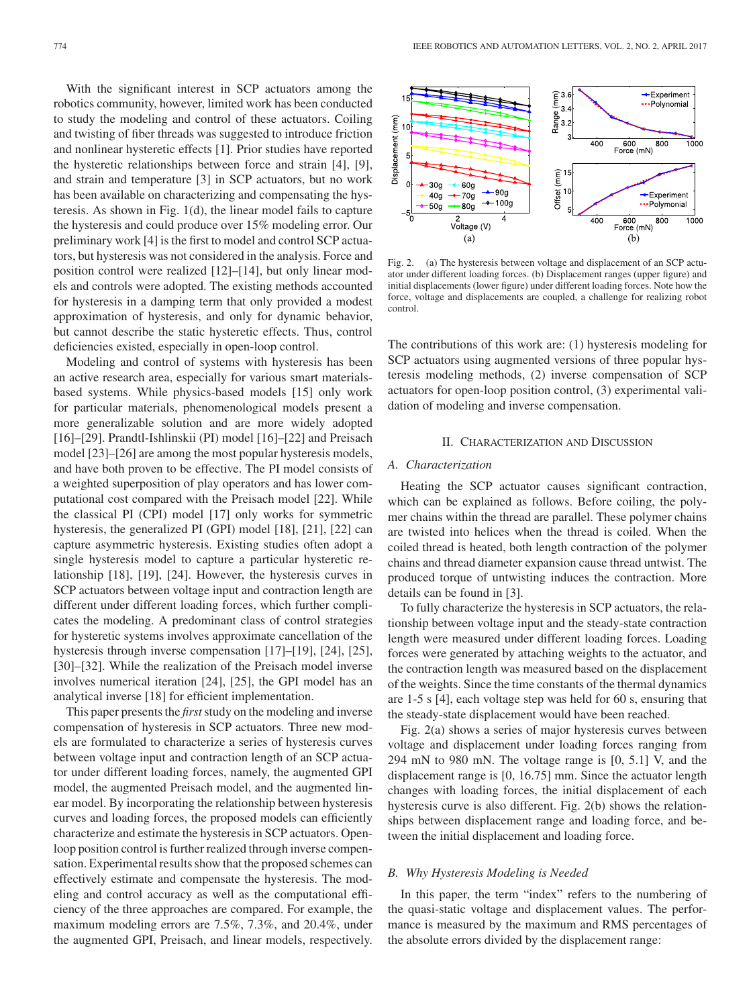With the significant interest in SCP actuators among the robotics community, however, limited work has been conducted to study the modeling and control of these actuators. Coiling and twisting of fiber threads was suggested to introduce friction and nonlinear hysteretic effects [1]. Prior studies have reported the hysteretic relationships between force and strain [4], [9], and strain and temperature [3] in SCP actuators, but no work has been available on characterizing and compensating the hysteresis. As shown in Fig. 1(d), the linear model fails to capture the hysteresis and could produce over 15% modeling error. Our preliminary work [4] is the first to model and control SCP actuators, but hysteresis was not considered in the analysis. Force and position control were realized [12]–[14], but only linear models and controls were adopted. The existing methods accounted for hysteresis in a damping term that only provided a modest approximation of hysteresis, and only for dynamic behavior, but cannot describe the static hysteretic effects. Thus, control deficiencies existed, especially in open-loop control.

Modeling and control of systems with hysteresis has been an active research area, especially for various smart materialsbased systems. While physics-based models [15] only work for particular materials, phenomenological models present a more generalizable solution and are more widely adopted [16]–[29]. Prandtl-Ishlinskii (PI) model [16]–[22] and Preisach model [23]–[26] are among the most popular hysteresis models, and have both proven to be effective. The PI model consists of a weighted superposition of play operators and has lower computational cost compared with the Preisach model [22]. While the classical PI (CPI) model [17] only works for symmetric hysteresis, the generalized PI (GPI) model [18], [21], [22] can capture asymmetric hysteresis. Existing studies often adopt a single hysteresis model to capture a particular hysteretic relationship [18], [19], [24]. However, the hysteresis curves in SCP actuators between voltage input and contraction length are different under different loading forces, which further complicates the modeling. A predominant class of control strategies for hysteretic systems involves approximate cancellation of the hysteresis through inverse compensation [17]–[19], [24], [25], [30]–[32]. While the realization of the Preisach model inverse involves numerical iteration [24], [25], the GPI model has an analytical inverse [18] for efficient implementation.

This paper presents the *first*study on the modeling and inverse compensation of hysteresis in SCP actuators. Three new models are formulated to characterize a series of hysteresis curves between voltage input and contraction length of an SCP actuator under different loading forces, namely, the augmented GPI model, the augmented Preisach model, and the augmented linear model. By incorporating the relationship between hysteresis curves and loading forces, the proposed models can efficiently characterize and estimate the hysteresis in SCP actuators. Openloop position control is further realized through inverse compensation. Experimental results show that the proposed schemes can effectively estimate and compensate the hysteresis. The modeling and control accuracy as well as the computational efficiency of the three approaches are compared. For example, the maximum modeling errors are 7.5%, 7.3%, and 20.4%, under the augmented GPI, Preisach, and linear models, respectively.



Fig. 2. (a) The hysteresis between voltage and displacement of an SCP actuator under different loading forces. (b) Displacement ranges (upper figure) and initial displacements (lower figure) under different loading forces. Note how the force, voltage and displacements are coupled, a challenge for realizing robot control.

The contributions of this work are: (1) hysteresis modeling for SCP actuators using augmented versions of three popular hysteresis modeling methods, (2) inverse compensation of SCP actuators for open-loop position control, (3) experimental validation of modeling and inverse compensation.

## II. CHARACTERIZATION AND DISCUSSION

## *A. Characterization*

Heating the SCP actuator causes significant contraction, which can be explained as follows. Before coiling, the polymer chains within the thread are parallel. These polymer chains are twisted into helices when the thread is coiled. When the coiled thread is heated, both length contraction of the polymer chains and thread diameter expansion cause thread untwist. The produced torque of untwisting induces the contraction. More details can be found in [3].

To fully characterize the hysteresis in SCP actuators, the relationship between voltage input and the steady-state contraction length were measured under different loading forces. Loading forces were generated by attaching weights to the actuator, and the contraction length was measured based on the displacement of the weights. Since the time constants of the thermal dynamics are 1-5 s [4], each voltage step was held for 60 s, ensuring that the steady-state displacement would have been reached.

Fig. 2(a) shows a series of major hysteresis curves between voltage and displacement under loading forces ranging from 294 mN to 980 mN. The voltage range is [0, 5.1] V, and the displacement range is [0, 16.75] mm. Since the actuator length changes with loading forces, the initial displacement of each hysteresis curve is also different. Fig. 2(b) shows the relationships between displacement range and loading force, and between the initial displacement and loading force.

# *B. Why Hysteresis Modeling is Needed*

In this paper, the term "index" refers to the numbering of the quasi-static voltage and displacement values. The performance is measured by the maximum and RMS percentages of the absolute errors divided by the displacement range: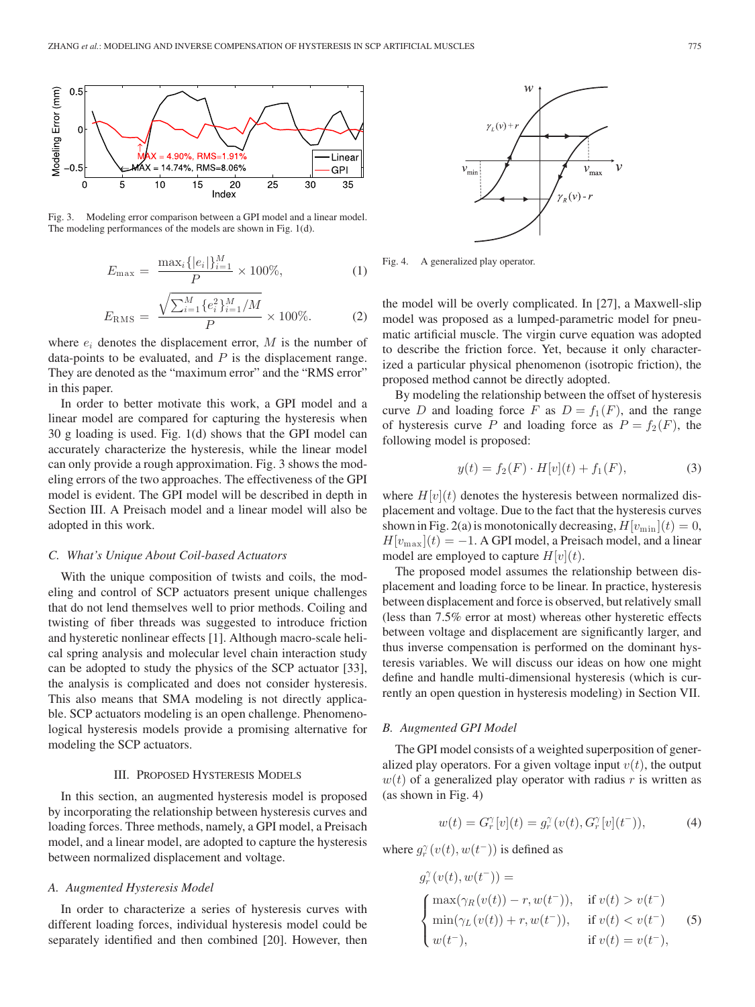

Fig. 3. Modeling error comparison between a GPI model and a linear model. The modeling performances of the models are shown in Fig. 1(d).

$$
E_{\max} = \frac{\max_i \{|e_i|\}_{i=1}^M}{P} \times 100\%,\tag{1}
$$

$$
E_{\rm RMS} = \frac{\sqrt{\sum_{i=1}^{M} \{e_i^2\}_{i=1}^{M}/M}}{P} \times 100\%.
$$
 (2)

where  $e_i$  denotes the displacement error,  $M$  is the number of data-points to be evaluated, and  $P$  is the displacement range. They are denoted as the "maximum error" and the "RMS error" in this paper.

In order to better motivate this work, a GPI model and a linear model are compared for capturing the hysteresis when 30 g loading is used. Fig. 1(d) shows that the GPI model can accurately characterize the hysteresis, while the linear model can only provide a rough approximation. Fig. 3 shows the modeling errors of the two approaches. The effectiveness of the GPI model is evident. The GPI model will be described in depth in Section III. A Preisach model and a linear model will also be adopted in this work.

## *C. What's Unique About Coil-based Actuators*

With the unique composition of twists and coils, the modeling and control of SCP actuators present unique challenges that do not lend themselves well to prior methods. Coiling and twisting of fiber threads was suggested to introduce friction and hysteretic nonlinear effects [1]. Although macro-scale helical spring analysis and molecular level chain interaction study can be adopted to study the physics of the SCP actuator [33], the analysis is complicated and does not consider hysteresis. This also means that SMA modeling is not directly applicable. SCP actuators modeling is an open challenge. Phenomenological hysteresis models provide a promising alternative for modeling the SCP actuators.

# III. PROPOSED HYSTERESIS MODELS

In this section, an augmented hysteresis model is proposed by incorporating the relationship between hysteresis curves and loading forces. Three methods, namely, a GPI model, a Preisach model, and a linear model, are adopted to capture the hysteresis between normalized displacement and voltage.

## *A. Augmented Hysteresis Model*

In order to characterize a series of hysteresis curves with different loading forces, individual hysteresis model could be separately identified and then combined [20]. However, then



Fig. 4. A generalized play operator.

the model will be overly complicated. In [27], a Maxwell-slip model was proposed as a lumped-parametric model for pneumatic artificial muscle. The virgin curve equation was adopted to describe the friction force. Yet, because it only characterized a particular physical phenomenon (isotropic friction), the proposed method cannot be directly adopted.

By modeling the relationship between the offset of hysteresis curve D and loading force F as  $D = f_1(F)$ , and the range of hysteresis curve P and loading force as  $P = f_2(F)$ , the following model is proposed:

$$
y(t) = f_2(F) \cdot H[v](t) + f_1(F), \tag{3}
$$

where  $H[v](t)$  denotes the hysteresis between normalized displacement and voltage. Due to the fact that the hysteresis curves shown in Fig. 2(a) is monotonically decreasing,  $H[v_{\min }](t)=0$ ,  $H[v_{\text{max}}](t) = -1$ . A GPI model, a Preisach model, and a linear model are employed to capture  $H[v](t)$ .

The proposed model assumes the relationship between displacement and loading force to be linear. In practice, hysteresis between displacement and force is observed, but relatively small (less than 7.5% error at most) whereas other hysteretic effects between voltage and displacement are significantly larger, and thus inverse compensation is performed on the dominant hysteresis variables. We will discuss our ideas on how one might define and handle multi-dimensional hysteresis (which is currently an open question in hysteresis modeling) in Section VII.

## *B. Augmented GPI Model*

The GPI model consists of a weighted superposition of generalized play operators. For a given voltage input  $v(t)$ , the output  $w(t)$  of a generalized play operator with radius r is written as (as shown in Fig. 4)

$$
w(t) = G_r^{\gamma}[v](t) = g_r^{\gamma}(v(t), G_r^{\gamma}[v](t^-)), \tag{4}
$$

where  $g_r^{\gamma}(v(t), w(t^{-}))$  is defined as

$$
g_r^{\gamma}(v(t), w(t^-)) =
$$
  
\n
$$
\begin{cases}\n\max(\gamma_R(v(t)) - r, w(t^-)), & \text{if } v(t) > v(t^-) \\
\min(\gamma_L(v(t)) + r, w(t^-)), & \text{if } v(t) < v(t^-) \\
w(t^-), & \text{if } v(t) = v(t^-),\n\end{cases}
$$
\n(5)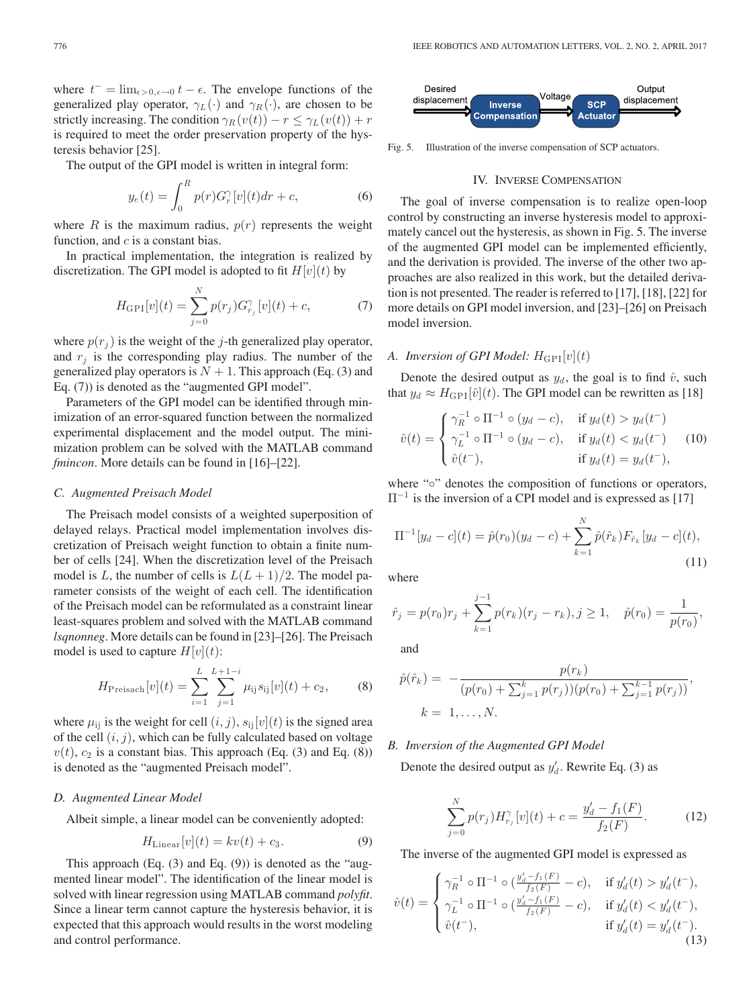where  $t^- = \lim_{\epsilon > 0, \epsilon \to 0} t - \epsilon$ . The envelope functions of the generalized play operator,  $\gamma_L(\cdot)$  and  $\gamma_R(\cdot)$ , are chosen to be strictly increasing. The condition  $\gamma_R(v(t)) - r \leq \gamma_L(v(t)) + r$ is required to meet the order preservation property of the hysteresis behavior [25].

The output of the GPI model is written in integral form:

$$
y_e(t) = \int_0^R p(r)G_r^{\gamma}[v](t)dr + c,\tag{6}
$$

where  $R$  is the maximum radius,  $p(r)$  represents the weight function, and  $c$  is a constant bias.

In practical implementation, the integration is realized by discretization. The GPI model is adopted to fit  $H[v](t)$  by

$$
H_{\text{GPI}}[v](t) = \sum_{j=0}^{N} p(r_j) G_{r_j}^{\gamma}[v](t) + c,\tag{7}
$$

where  $p(r_i)$  is the weight of the j-th generalized play operator, and  $r_i$  is the corresponding play radius. The number of the generalized play operators is  $N + 1$ . This approach (Eq. (3) and Eq. (7)) is denoted as the "augmented GPI model".

Parameters of the GPI model can be identified through minimization of an error-squared function between the normalized experimental displacement and the model output. The minimization problem can be solved with the MATLAB command *fmincon*. More details can be found in [16]–[22].

## *C. Augmented Preisach Model*

The Preisach model consists of a weighted superposition of delayed relays. Practical model implementation involves discretization of Preisach weight function to obtain a finite number of cells [24]. When the discretization level of the Preisach model is L, the number of cells is  $L(L+1)/2$ . The model parameter consists of the weight of each cell. The identification of the Preisach model can be reformulated as a constraint linear least-squares problem and solved with the MATLAB command *lsqnonneg*. More details can be found in [23]–[26]. The Preisach model is used to capture  $H[v](t)$ :

$$
H_{\text{Preisach}}[v](t) = \sum_{i=1}^{L} \sum_{j=1}^{L+1-i} \mu_{ij} s_{ij}[v](t) + c_2, \quad (8)
$$

where  $\mu_{ij}$  is the weight for cell  $(i, j)$ ,  $s_{ij}[v](t)$  is the signed area of the cell  $(i, j)$ , which can be fully calculated based on voltage  $v(t)$ ,  $c_2$  is a constant bias. This approach (Eq. (3) and Eq. (8)) is denoted as the "augmented Preisach model".

## *D. Augmented Linear Model*

Albeit simple, a linear model can be conveniently adopted:

$$
H_{\text{Linear}}[v](t) = kv(t) + c_3.
$$
 (9)

This approach (Eq. (3) and Eq. (9)) is denoted as the "augmented linear model". The identification of the linear model is solved with linear regression using MATLAB command *polyfit*. Since a linear term cannot capture the hysteresis behavior, it is expected that this approach would results in the worst modeling and control performance.



Fig. 5. Illustration of the inverse compensation of SCP actuators.

## IV. INVERSE COMPENSATION

The goal of inverse compensation is to realize open-loop control by constructing an inverse hysteresis model to approximately cancel out the hysteresis, as shown in Fig. 5. The inverse of the augmented GPI model can be implemented efficiently, and the derivation is provided. The inverse of the other two approaches are also realized in this work, but the detailed derivation is not presented. The reader is referred to [17], [18], [22] for more details on GPI model inversion, and [23]–[26] on Preisach model inversion.

# *A. Inversion of GPI Model:*  $H_{\text{GPI}}[v](t)$

Denote the desired output as  $y_d$ , the goal is to find  $\hat{v}$ , such that  $y_d \approx H_{\text{GPI}}[\hat{v}](t)$ . The GPI model can be rewritten as [18]

$$
\hat{v}(t) = \begin{cases}\n\gamma_R^{-1} \circ \Pi^{-1} \circ (y_d - c), & \text{if } y_d(t) > y_d(t^-) \\
\gamma_L^{-1} \circ \Pi^{-1} \circ (y_d - c), & \text{if } y_d(t) < y_d(t^-) \\
\hat{v}(t^-), & \text{if } y_d(t) = y_d(t^-),\n\end{cases} \tag{10}
$$

where "∘" denotes the composition of functions or operators,  $\Pi^{-1}$  is the inversion of a CPI model and is expressed as [17]

$$
\Pi^{-1}[y_d - c](t) = \hat{p}(r_0)(y_d - c) + \sum_{k=1}^{N} \hat{p}(\hat{r}_k) F_{\hat{r}_k}[y_d - c](t),
$$
\n(11)

where

$$
\hat{r}_j = p(r_0)r_j + \sum_{k=1}^{j-1} p(r_k)(r_j - r_k), j \ge 1, \quad \hat{p}(r_0) = \frac{1}{p(r_0)},
$$

and

$$
\hat{p}(\hat{r}_k) = -\frac{p(r_k)}{(p(r_0) + \sum_{j=1}^k p(r_j))(p(r_0) + \sum_{j=1}^{k-1} p(r_j))},
$$
  

$$
k = 1, ..., N.
$$

# *B. Inversion of the Augmented GPI Model*

Denote the desired output as  $y'_d$ . Rewrite Eq. (3) as

$$
\sum_{j=0}^{N} p(r_j) H_{r_j}^{\gamma}[v](t) + c = \frac{y'_d - f_1(F)}{f_2(F)}.
$$
 (12)

The inverse of the augmented GPI model is expressed as

$$
\hat{v}(t) = \begin{cases}\n\gamma_R^{-1} \circ \Pi^{-1} \circ (\frac{y'_d - f_1(F)}{f_2(F)} - c), & \text{if } y'_d(t) > y'_d(t^-), \\
\gamma_L^{-1} \circ \Pi^{-1} \circ (\frac{y'_d - f_1(F)}{f_2(F)} - c), & \text{if } y'_d(t) < y'_d(t^-), \\
\hat{v}(t^-), & \text{if } y'_d(t) = y'_d(t^-).\n\end{cases}
$$
\n
$$
(13)
$$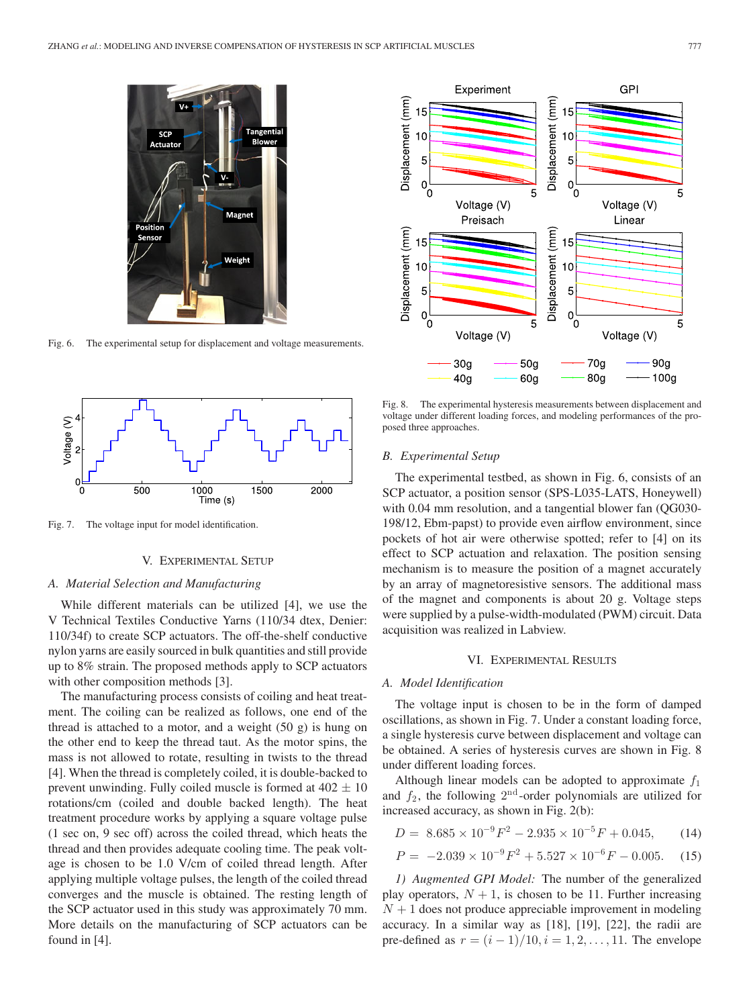

Fig. 6. The experimental setup for displacement and voltage measurements.



Fig. 7. The voltage input for model identification.

## V. EXPERIMENTAL SETUP

# *A. Material Selection and Manufacturing*

While different materials can be utilized [4], we use the V Technical Textiles Conductive Yarns (110/34 dtex, Denier: 110/34f) to create SCP actuators. The off-the-shelf conductive nylon yarns are easily sourced in bulk quantities and still provide up to 8% strain. The proposed methods apply to SCP actuators with other composition methods [3].

The manufacturing process consists of coiling and heat treatment. The coiling can be realized as follows, one end of the thread is attached to a motor, and a weight (50 g) is hung on the other end to keep the thread taut. As the motor spins, the mass is not allowed to rotate, resulting in twists to the thread [4]. When the thread is completely coiled, it is double-backed to prevent unwinding. Fully coiled muscle is formed at  $402 \pm 10$ rotations/cm (coiled and double backed length). The heat treatment procedure works by applying a square voltage pulse (1 sec on, 9 sec off) across the coiled thread, which heats the thread and then provides adequate cooling time. The peak voltage is chosen to be 1.0 V/cm of coiled thread length. After applying multiple voltage pulses, the length of the coiled thread converges and the muscle is obtained. The resting length of the SCP actuator used in this study was approximately 70 mm. More details on the manufacturing of SCP actuators can be found in [4].



Fig. 8. The experimental hysteresis measurements between displacement and voltage under different loading forces, and modeling performances of the proposed three approaches.

#### *B. Experimental Setup*

The experimental testbed, as shown in Fig. 6, consists of an SCP actuator, a position sensor (SPS-L035-LATS, Honeywell) with 0.04 mm resolution, and a tangential blower fan (QG030-198/12, Ebm-papst) to provide even airflow environment, since pockets of hot air were otherwise spotted; refer to [4] on its effect to SCP actuation and relaxation. The position sensing mechanism is to measure the position of a magnet accurately by an array of magnetoresistive sensors. The additional mass of the magnet and components is about 20 g. Voltage steps were supplied by a pulse-width-modulated (PWM) circuit. Data acquisition was realized in Labview.

## VI. EXPERIMENTAL RESULTS

#### *A. Model Identification*

The voltage input is chosen to be in the form of damped oscillations, as shown in Fig. 7. Under a constant loading force, a single hysteresis curve between displacement and voltage can be obtained. A series of hysteresis curves are shown in Fig. 8 under different loading forces.

Although linear models can be adopted to approximate  $f_1$ and  $f_2$ , the following  $2<sup>nd</sup>$ -order polynomials are utilized for increased accuracy, as shown in Fig. 2(b):

$$
D = 8.685 \times 10^{-9} F^2 - 2.935 \times 10^{-5} F + 0.045, \qquad (14)
$$

$$
P = -2.039 \times 10^{-9} F^2 + 5.527 \times 10^{-6} F - 0.005. \tag{15}
$$

*1) Augmented GPI Model:* The number of the generalized play operators,  $N + 1$ , is chosen to be 11. Further increasing  $N + 1$  does not produce appreciable improvement in modeling accuracy. In a similar way as [18], [19], [22], the radii are pre-defined as  $r = (i - 1)/10, i = 1, 2, ..., 11$ . The envelope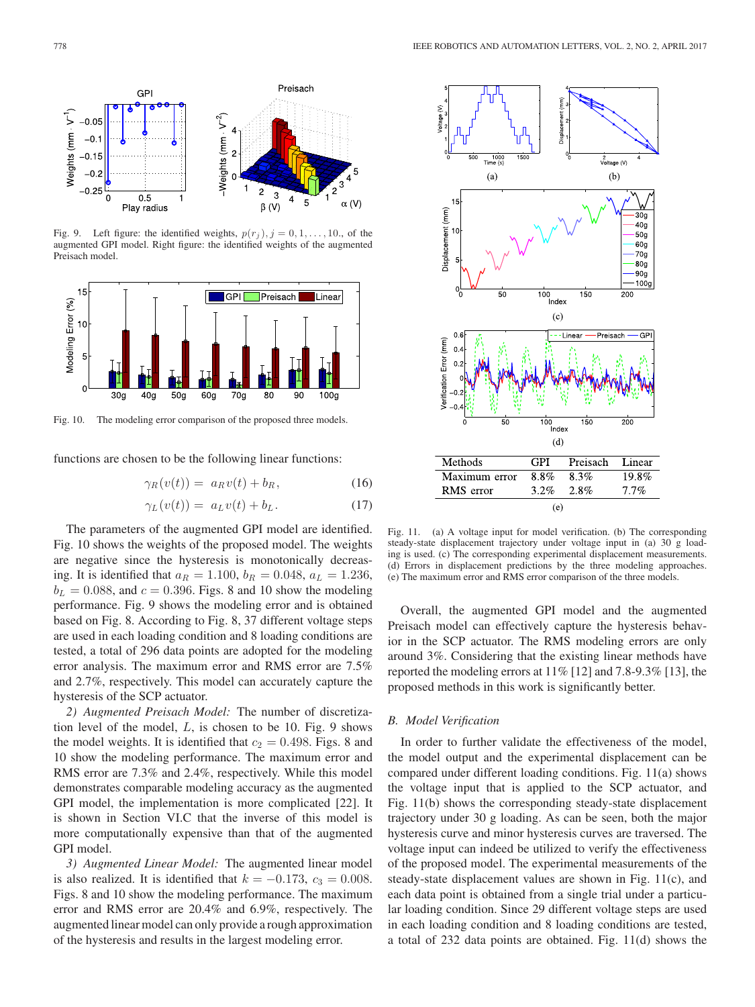

Fig. 9. Left figure: the identified weights,  $p(r_i)$ ,  $j = 0, 1, \ldots, 10$ ., of the augmented GPI model. Right figure: the identified weights of the augmented Preisach model.



Fig. 10. The modeling error comparison of the proposed three models.

functions are chosen to be the following linear functions:

$$
\gamma_R(v(t)) = a_R v(t) + b_R, \qquad (16)
$$

$$
\gamma_L(v(t)) = a_L v(t) + b_L. \tag{17}
$$

The parameters of the augmented GPI model are identified. Fig. 10 shows the weights of the proposed model. The weights are negative since the hysteresis is monotonically decreasing. It is identified that  $a_R = 1.100$ ,  $b_R = 0.048$ ,  $a_L = 1.236$ ,  $b<sub>L</sub> = 0.088$ , and  $c = 0.396$ . Figs. 8 and 10 show the modeling performance. Fig. 9 shows the modeling error and is obtained based on Fig. 8. According to Fig. 8, 37 different voltage steps are used in each loading condition and 8 loading conditions are tested, a total of 296 data points are adopted for the modeling error analysis. The maximum error and RMS error are 7.5% and 2.7%, respectively. This model can accurately capture the hysteresis of the SCP actuator.

*2) Augmented Preisach Model:* The number of discretization level of the model,  $L$ , is chosen to be 10. Fig. 9 shows the model weights. It is identified that  $c_2 = 0.498$ . Figs. 8 and 10 show the modeling performance. The maximum error and RMS error are 7.3% and 2.4%, respectively. While this model demonstrates comparable modeling accuracy as the augmented GPI model, the implementation is more complicated [22]. It is shown in Section VI.C that the inverse of this model is more computationally expensive than that of the augmented GPI model.

*3) Augmented Linear Model:* The augmented linear model is also realized. It is identified that  $k = -0.173$ ,  $c_3 = 0.008$ . Figs. 8 and 10 show the modeling performance. The maximum error and RMS error are 20.4% and 6.9%, respectively. The augmented linear model can only provide a rough approximation of the hysteresis and results in the largest modeling error.



Fig. 11. (a) A voltage input for model verification. (b) The corresponding steady-state displacement trajectory under voltage input in (a) 30 g loading is used. (c) The corresponding experimental displacement measurements. (d) Errors in displacement predictions by the three modeling approaches. (e) The maximum error and RMS error comparison of the three models.

Overall, the augmented GPI model and the augmented Preisach model can effectively capture the hysteresis behavior in the SCP actuator. The RMS modeling errors are only around 3%. Considering that the existing linear methods have reported the modeling errors at 11% [12] and 7.8-9.3% [13], the proposed methods in this work is significantly better.

## *B. Model Verification*

In order to further validate the effectiveness of the model, the model output and the experimental displacement can be compared under different loading conditions. Fig. 11(a) shows the voltage input that is applied to the SCP actuator, and Fig. 11(b) shows the corresponding steady-state displacement trajectory under 30 g loading. As can be seen, both the major hysteresis curve and minor hysteresis curves are traversed. The voltage input can indeed be utilized to verify the effectiveness of the proposed model. The experimental measurements of the steady-state displacement values are shown in Fig. 11(c), and each data point is obtained from a single trial under a particular loading condition. Since 29 different voltage steps are used in each loading condition and 8 loading conditions are tested, a total of 232 data points are obtained. Fig. 11(d) shows the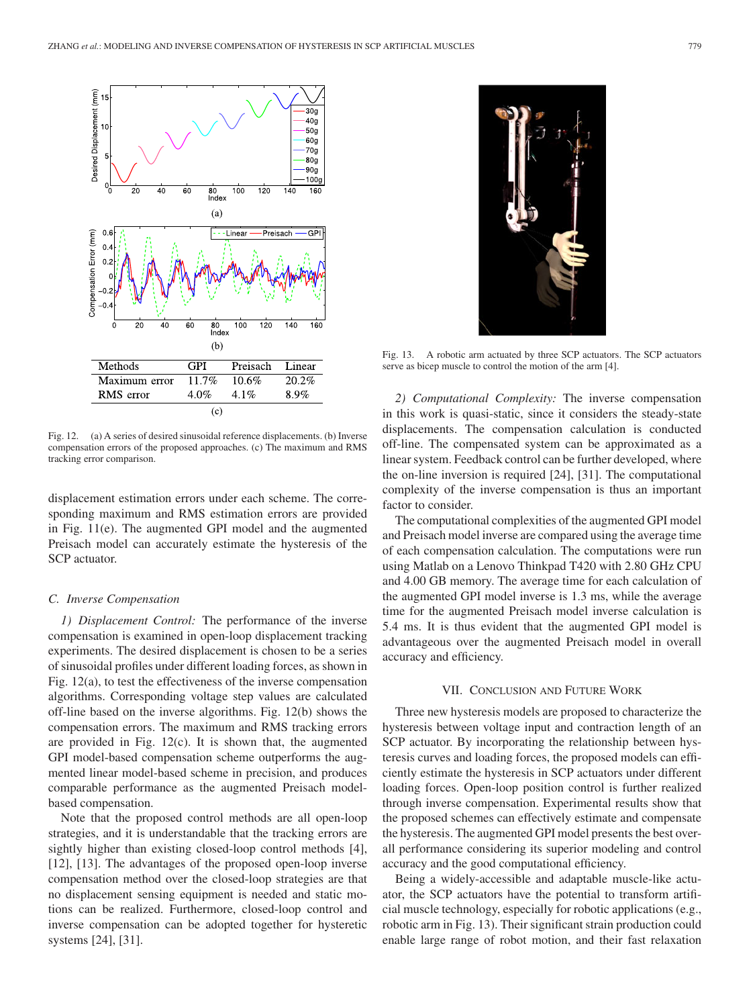

Fig. 12. (a) A series of desired sinusoidal reference displacements. (b) Inverse compensation errors of the proposed approaches. (c) The maximum and RMS tracking error comparison.

displacement estimation errors under each scheme. The corresponding maximum and RMS estimation errors are provided in Fig. 11(e). The augmented GPI model and the augmented Preisach model can accurately estimate the hysteresis of the SCP actuator.

# *C. Inverse Compensation*

*1) Displacement Control:* The performance of the inverse compensation is examined in open-loop displacement tracking experiments. The desired displacement is chosen to be a series of sinusoidal profiles under different loading forces, as shown in Fig. 12(a), to test the effectiveness of the inverse compensation algorithms. Corresponding voltage step values are calculated off-line based on the inverse algorithms. Fig. 12(b) shows the compensation errors. The maximum and RMS tracking errors are provided in Fig.  $12(c)$ . It is shown that, the augmented GPI model-based compensation scheme outperforms the augmented linear model-based scheme in precision, and produces comparable performance as the augmented Preisach modelbased compensation.

Note that the proposed control methods are all open-loop strategies, and it is understandable that the tracking errors are sightly higher than existing closed-loop control methods [4], [12], [13]. The advantages of the proposed open-loop inverse compensation method over the closed-loop strategies are that no displacement sensing equipment is needed and static motions can be realized. Furthermore, closed-loop control and inverse compensation can be adopted together for hysteretic systems [24], [31].



Fig. 13. A robotic arm actuated by three SCP actuators. The SCP actuators serve as bicep muscle to control the motion of the arm [4].

*2) Computational Complexity:* The inverse compensation in this work is quasi-static, since it considers the steady-state displacements. The compensation calculation is conducted off-line. The compensated system can be approximated as a linear system. Feedback control can be further developed, where the on-line inversion is required [24], [31]. The computational complexity of the inverse compensation is thus an important factor to consider.

The computational complexities of the augmented GPI model and Preisach model inverse are compared using the average time of each compensation calculation. The computations were run using Matlab on a Lenovo Thinkpad T420 with 2.80 GHz CPU and 4.00 GB memory. The average time for each calculation of the augmented GPI model inverse is 1.3 ms, while the average time for the augmented Preisach model inverse calculation is 5.4 ms. It is thus evident that the augmented GPI model is advantageous over the augmented Preisach model in overall accuracy and efficiency.

## VII. CONCLUSION AND FUTURE WORK

Three new hysteresis models are proposed to characterize the hysteresis between voltage input and contraction length of an SCP actuator. By incorporating the relationship between hysteresis curves and loading forces, the proposed models can efficiently estimate the hysteresis in SCP actuators under different loading forces. Open-loop position control is further realized through inverse compensation. Experimental results show that the proposed schemes can effectively estimate and compensate the hysteresis. The augmented GPI model presents the best overall performance considering its superior modeling and control accuracy and the good computational efficiency.

Being a widely-accessible and adaptable muscle-like actuator, the SCP actuators have the potential to transform artificial muscle technology, especially for robotic applications (e.g., robotic arm in Fig. 13). Their significant strain production could enable large range of robot motion, and their fast relaxation